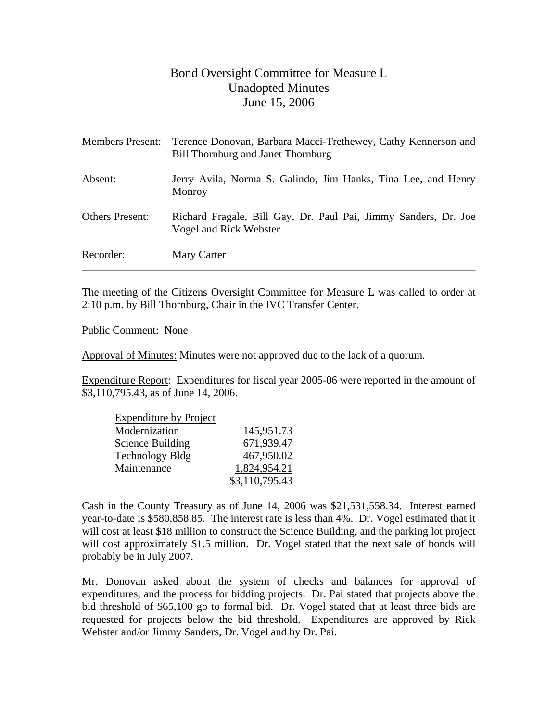### Bond Oversight Committee for Measure L Unadopted Minutes June 15, 2006

| <b>Members Present:</b> | Terence Donovan, Barbara Macci-Trethewey, Cathy Kennerson and<br>Bill Thornburg and Janet Thornburg |
|-------------------------|-----------------------------------------------------------------------------------------------------|
| Absent:                 | Jerry Avila, Norma S. Galindo, Jim Hanks, Tina Lee, and Henry<br>Monroy                             |
| <b>Others Present:</b>  | Richard Fragale, Bill Gay, Dr. Paul Pai, Jimmy Sanders, Dr. Joe<br>Vogel and Rick Webster           |
| Recorder:               | Mary Carter                                                                                         |

The meeting of the Citizens Oversight Committee for Measure L was called to order at 2:10 p.m. by Bill Thornburg, Chair in the IVC Transfer Center.

#### Public Comment: None

Approval of Minutes: Minutes were not approved due to the lack of a quorum.

Expenditure Report: Expenditures for fiscal year 2005-06 were reported in the amount of \$3,110,795.43, as of June 14, 2006.

| <b>Expenditure by Project</b> |                |
|-------------------------------|----------------|
| Modernization                 | 145,951.73     |
| <b>Science Building</b>       | 671,939.47     |
| <b>Technology Bldg</b>        | 467,950.02     |
| Maintenance                   | 1,824,954.21   |
|                               | \$3,110,795.43 |

Cash in the County Treasury as of June 14, 2006 was \$21,531,558.34. Interest earned year-to-date is \$580,858.85. The interest rate is less than 4%. Dr. Vogel estimated that it will cost at least \$18 million to construct the Science Building, and the parking lot project will cost approximately \$1.5 million. Dr. Vogel stated that the next sale of bonds will probably be in July 2007.

Mr. Donovan asked about the system of checks and balances for approval of expenditures, and the process for bidding projects. Dr. Pai stated that projects above the bid threshold of \$65,100 go to formal bid. Dr. Vogel stated that at least three bids are requested for projects below the bid threshold. Expenditures are approved by Rick Webster and/or Jimmy Sanders, Dr. Vogel and by Dr. Pai.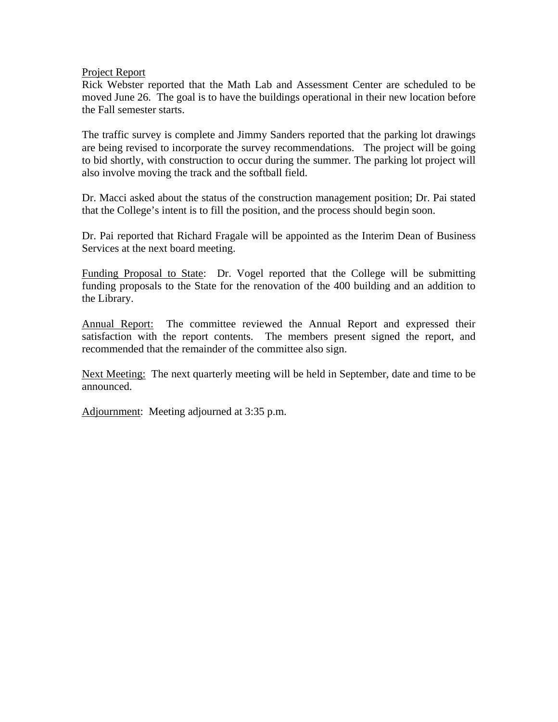### Project Report

Rick Webster reported that the Math Lab and Assessment Center are scheduled to be moved June 26. The goal is to have the buildings operational in their new location before the Fall semester starts.

The traffic survey is complete and Jimmy Sanders reported that the parking lot drawings are being revised to incorporate the survey recommendations. The project will be going to bid shortly, with construction to occur during the summer. The parking lot project will also involve moving the track and the softball field.

Dr. Macci asked about the status of the construction management position; Dr. Pai stated that the College's intent is to fill the position, and the process should begin soon.

Dr. Pai reported that Richard Fragale will be appointed as the Interim Dean of Business Services at the next board meeting.

Funding Proposal to State: Dr. Vogel reported that the College will be submitting funding proposals to the State for the renovation of the 400 building and an addition to the Library.

Annual Report: The committee reviewed the Annual Report and expressed their satisfaction with the report contents. The members present signed the report, and recommended that the remainder of the committee also sign.

Next Meeting: The next quarterly meeting will be held in September, date and time to be announced.

Adjournment: Meeting adjourned at 3:35 p.m.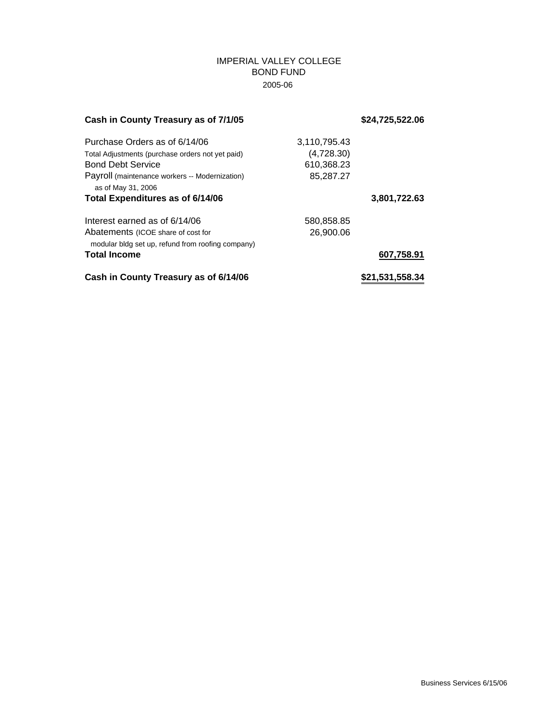### IMPERIAL VALLEY COLLEGE BOND FUND 2006-06 2005-06

| Cash in County Treasury as of 7/1/05                                                    |              | \$24,725,522.06 |
|-----------------------------------------------------------------------------------------|--------------|-----------------|
| Purchase Orders as of 6/14/06                                                           | 3,110,795.43 |                 |
| Total Adjustments (purchase orders not yet paid)                                        | (4,728.30)   |                 |
| <b>Bond Debt Service</b>                                                                | 610,368.23   |                 |
| Payroll (maintenance workers -- Modernization)<br>as of May 31, 2006                    | 85,287.27    |                 |
| Total Expenditures as of 6/14/06                                                        |              | 3,801,722.63    |
| Interest earned as of 6/14/06                                                           | 580,858.85   |                 |
| Abatements (ICOE share of cost for<br>modular bldg set up, refund from roofing company) | 26,900.06    |                 |
| <b>Total Income</b>                                                                     |              | 607,758.91      |
| Cash in County Treasury as of 6/14/06                                                   |              | \$21,531,558.34 |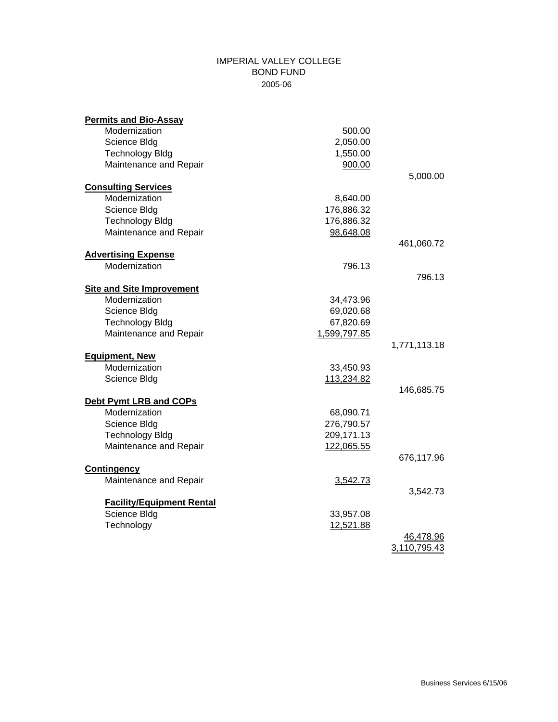#### IMPERIAL VALLEY COLLEGE BOND FUND 2006-06 2005-06

| <b>Permits and Bio-Assay</b>           |              |              |
|----------------------------------------|--------------|--------------|
| Modernization                          | 500.00       |              |
| Science Bldg                           | 2,050.00     |              |
| <b>Technology Bldg</b>                 | 1,550.00     |              |
| Maintenance and Repair                 | 900.00       |              |
| <b>Consulting Services</b>             |              | 5,000.00     |
| Modernization                          | 8,640.00     |              |
| Science Bldg                           | 176,886.32   |              |
| <b>Technology Bldg</b>                 | 176,886.32   |              |
| Maintenance and Repair                 | 98,648.08    |              |
| <b>Advertising Expense</b>             |              | 461,060.72   |
| Modernization                          | 796.13       |              |
|                                        |              | 796.13       |
| <b>Site and Site Improvement</b>       |              |              |
| Modernization                          | 34,473.96    |              |
| Science Bldg                           | 69,020.68    |              |
| <b>Technology Bldg</b>                 | 67,820.69    |              |
| Maintenance and Repair                 | 1,599,797.85 |              |
|                                        |              | 1,771,113.18 |
| <b>Equipment, New</b><br>Modernization | 33,450.93    |              |
| Science Bldg                           | 113,234.82   |              |
|                                        |              | 146,685.75   |
| <b>Debt Pymt LRB and COPs</b>          |              |              |
| Modernization                          | 68,090.71    |              |
| Science Bldg                           | 276,790.57   |              |
| <b>Technology Bldg</b>                 | 209,171.13   |              |
| Maintenance and Repair                 | 122,065.55   |              |
|                                        |              | 676,117.96   |
| <b>Contingency</b>                     |              |              |
| Maintenance and Repair                 | 3,542.73     |              |
|                                        |              | 3,542.73     |
| <b>Facility/Equipment Rental</b>       |              |              |
| Science Bldg                           | 33,957.08    |              |
| Technology                             | 12,521.88    |              |
|                                        |              | 46,478.96    |
|                                        |              | 3,110,795.43 |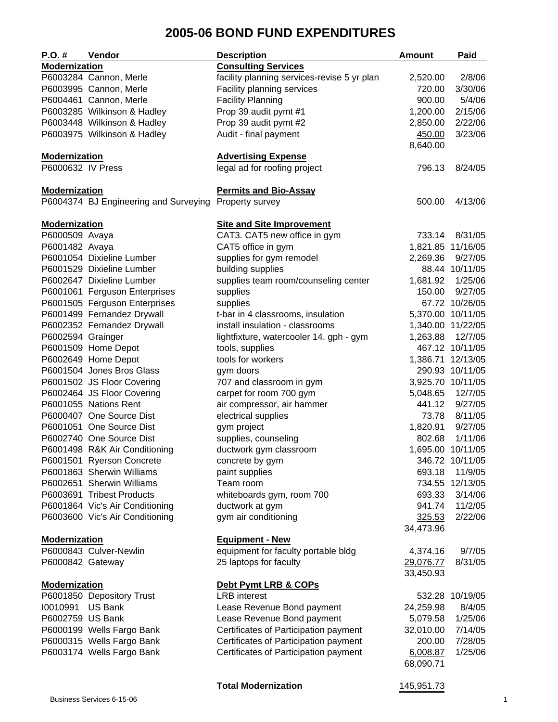| P.O. #               | Vendor                                | <b>Description</b>                          | <b>Amount</b> | Paid              |
|----------------------|---------------------------------------|---------------------------------------------|---------------|-------------------|
| <b>Modernization</b> |                                       | <b>Consulting Services</b>                  |               |                   |
|                      | P6003284 Cannon, Merle                | facility planning services-revise 5 yr plan | 2,520.00      | 2/8/06            |
|                      | P6003995 Cannon, Merle                | Facility planning services                  | 720.00        | 3/30/06           |
|                      | P6004461 Cannon, Merle                | <b>Facility Planning</b>                    | 900.00        | 5/4/06            |
|                      | P6003285 Wilkinson & Hadley           | Prop 39 audit pymt #1                       | 1,200.00      | 2/15/06           |
|                      | P6003448 Wilkinson & Hadley           | Prop 39 audit pymt #2                       | 2,850.00      | 2/22/06           |
|                      | P6003975 Wilkinson & Hadley           | Audit - final payment                       | 450.00        | 3/23/06           |
|                      |                                       |                                             | 8,640.00      |                   |
| <b>Modernization</b> |                                       | <b>Advertising Expense</b>                  |               |                   |
| P6000632 IV Press    |                                       | legal ad for roofing project                | 796.13        | 8/24/05           |
|                      |                                       |                                             |               |                   |
| <b>Modernization</b> |                                       | <b>Permits and Bio-Assay</b>                |               |                   |
|                      | P6004374 BJ Engineering and Surveying | Property survey                             | 500.00        | 4/13/06           |
|                      |                                       |                                             |               |                   |
| <b>Modernization</b> |                                       | <b>Site and Site Improvement</b>            |               |                   |
| P6000509 Avaya       |                                       | CAT3. CAT5 new office in gym                | 733.14        | 8/31/05           |
| P6001482 Avaya       |                                       | CAT5 office in gym                          |               | 1,821.85 11/16/05 |
|                      | P6001054 Dixieline Lumber             | supplies for gym remodel                    | 2,269.36      | 9/27/05           |
|                      | P6001529 Dixieline Lumber             | building supplies                           |               | 88.44 10/11/05    |
|                      | P6002647 Dixieline Lumber             | supplies team room/counseling center        | 1,681.92      | 1/25/06           |
|                      | P6001061 Ferguson Enterprises         | supplies                                    | 150.00        | 9/27/05           |
|                      | P6001505 Ferguson Enterprises         | supplies                                    |               | 67.72 10/26/05    |
|                      | P6001499 Fernandez Drywall            | t-bar in 4 classrooms, insulation           |               | 5,370.00 10/11/05 |
|                      | P6002352 Fernandez Drywall            | install insulation - classrooms             |               | 1,340.00 11/22/05 |
| P6002594 Grainger    |                                       | lightfixture, watercooler 14. gph - gym     | 1,263.88      | 12/7/05           |
|                      | P6001509 Home Depot                   | tools, supplies                             |               | 467.12 10/11/05   |
|                      | P6002649 Home Depot                   | tools for workers                           |               | 1,386.71 12/13/05 |
|                      | P6001504 Jones Bros Glass             | gym doors                                   |               | 290.93 10/11/05   |
|                      | P6001502 JS Floor Covering            | 707 and classroom in gym                    |               | 3,925.70 10/11/05 |
|                      | P6002464 JS Floor Covering            | carpet for room 700 gym                     | 5,048.65      | 12/7/05           |
|                      | P6001055 Nations Rent                 | air compressor, air hammer                  | 441.12        | 9/27/05           |
|                      | P6000407 One Source Dist              | electrical supplies                         | 73.78         | 8/11/05           |
|                      | P6001051 One Source Dist              | gym project                                 | 1,820.91      | 9/27/05           |
|                      | P6002740 One Source Dist              | supplies, counseling                        | 802.68        | 1/11/06           |
|                      | P6001498 R&K Air Conditioning         | ductwork gym classroom                      |               | 1,695.00 10/11/05 |
|                      | P6001501 Ryerson Concrete             | concrete by gym                             |               | 346.72 10/11/05   |
|                      | P6001863 Sherwin Williams             | paint supplies                              | 693.18        | 11/9/05           |
|                      | P6002651 Sherwin Williams             | Team room                                   |               | 734.55 12/13/05   |
|                      | P6003691 Tribest Products             | whiteboards gym, room 700                   | 693.33        | 3/14/06           |
|                      | P6001864 Vic's Air Conditioning       | ductwork at gym                             | 941.74        | 11/2/05           |
|                      | P6003600 Vic's Air Conditioning       | gym air conditioning                        | 325.53        | 2/22/06           |
|                      |                                       |                                             | 34,473.96     |                   |
| <b>Modernization</b> |                                       | <b>Equipment - New</b>                      |               |                   |
|                      | P6000843 Culver-Newlin                | equipment for faculty portable bldg         | 4,374.16      | 9/7/05            |
| P6000842 Gateway     |                                       | 25 laptops for faculty                      | 29,076.77     | 8/31/05           |
|                      |                                       |                                             | 33,450.93     |                   |
| <b>Modernization</b> |                                       | Debt Pymt LRB & COPs                        |               |                   |
|                      | P6001850 Depository Trust             | <b>LRB</b> interest                         |               | 532.28 10/19/05   |
| 10010991             | <b>US Bank</b>                        | Lease Revenue Bond payment                  | 24,259.98     | 8/4/05            |
| P6002759 US Bank     |                                       | Lease Revenue Bond payment                  | 5,079.58      | 1/25/06           |
|                      | P6000199 Wells Fargo Bank             | Certificates of Participation payment       | 32,010.00     | 7/14/05           |
|                      | P6000315 Wells Fargo Bank             | Certificates of Participation payment       | 200.00        | 7/28/05           |
|                      | P6003174 Wells Fargo Bank             | Certificates of Participation payment       | 6,008.87      | 1/25/06           |
|                      |                                       |                                             | 68,090.71     |                   |
|                      |                                       |                                             |               |                   |
|                      |                                       | <b>Total Modernization</b>                  | 145,951.73    |                   |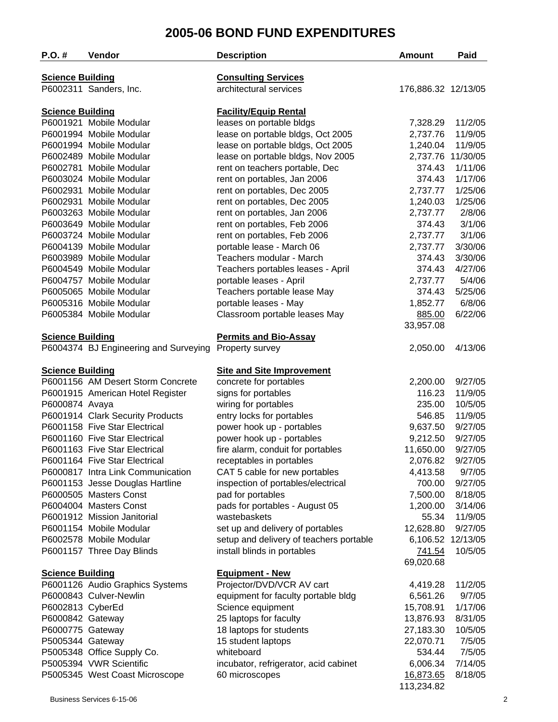| P.O. #                  | Vendor                                | <b>Description</b>                      | <b>Amount</b>           | Paid     |
|-------------------------|---------------------------------------|-----------------------------------------|-------------------------|----------|
| <b>Science Building</b> |                                       | <b>Consulting Services</b>              |                         |          |
|                         | P6002311 Sanders, Inc.                | architectural services                  | 176,886.32 12/13/05     |          |
| <b>Science Building</b> |                                       | <b>Facility/Equip Rental</b>            |                         |          |
|                         | P6001921 Mobile Modular               | leases on portable bldgs                | 7,328.29                | 11/2/05  |
|                         | P6001994 Mobile Modular               | lease on portable bldgs, Oct 2005       | 2,737.76                | 11/9/05  |
|                         | P6001994 Mobile Modular               | lease on portable bldgs, Oct 2005       | 1,240.04                | 11/9/05  |
|                         | P6002489 Mobile Modular               | lease on portable bldgs, Nov 2005       | 2,737.76                | 11/30/05 |
|                         | P6002781 Mobile Modular               | rent on teachers portable, Dec          | 374.43                  | 1/11/06  |
|                         | P6003024 Mobile Modular               | rent on portables, Jan 2006             | 374.43                  | 1/17/06  |
|                         | P6002931 Mobile Modular               | rent on portables, Dec 2005             | 2,737.77                | 1/25/06  |
|                         | P6002931 Mobile Modular               | rent on portables, Dec 2005             | 1,240.03                | 1/25/06  |
|                         | P6003263 Mobile Modular               | rent on portables, Jan 2006             | 2,737.77                | 2/8/06   |
|                         | P6003649 Mobile Modular               | rent on portables, Feb 2006             | 374.43                  | 3/1/06   |
|                         | P6003724 Mobile Modular               | rent on portables, Feb 2006             | 2,737.77                | 3/1/06   |
|                         | P6004139 Mobile Modular               | portable lease - March 06               | 2,737.77                | 3/30/06  |
|                         | P6003989 Mobile Modular               | Teachers modular - March                | 374.43                  | 3/30/06  |
|                         | P6004549 Mobile Modular               | Teachers portables leases - April       | 374.43                  | 4/27/06  |
|                         | P6004757 Mobile Modular               | portable leases - April                 | 2,737.77                | 5/4/06   |
|                         | P6005065 Mobile Modular               | Teachers portable lease May             | 374.43                  | 5/25/06  |
|                         | P6005316 Mobile Modular               | portable leases - May                   | 1,852.77                | 6/8/06   |
|                         | P6005384 Mobile Modular               | Classroom portable leases May           | 885.00                  | 6/22/06  |
|                         |                                       |                                         | 33,957.08               |          |
| <b>Science Building</b> |                                       | <b>Permits and Bio-Assay</b>            |                         |          |
|                         | P6004374 BJ Engineering and Surveying | Property survey                         | 2,050.00                | 4/13/06  |
| <b>Science Building</b> |                                       | <b>Site and Site Improvement</b>        |                         |          |
|                         | P6001156 AM Desert Storm Concrete     | concrete for portables                  | 2,200.00                | 9/27/05  |
|                         | P6001915 American Hotel Register      | signs for portables                     | 116.23                  | 11/9/05  |
| P6000874 Avaya          |                                       | wiring for portables                    | 235.00                  | 10/5/05  |
|                         | P6001914 Clark Security Products      | entry locks for portables               | 546.85                  | 11/9/05  |
|                         | P6001158 Five Star Electrical         | power hook up - portables               | 9,637.50                | 9/27/05  |
|                         | P6001160 Five Star Electrical         | power hook up - portables               | 9,212.50                | 9/27/05  |
|                         | P6001163 Five Star Electrical         | fire alarm, conduit for portables       | 11,650.00               | 9/27/05  |
|                         | P6001164 Five Star Electrical         | receptables in portables                | 2,076.82                | 9/27/05  |
|                         | P6000817 Intra Link Communication     | CAT 5 cable for new portables           | 4,413.58                | 9/7/05   |
|                         | P6001153 Jesse Douglas Hartline       | inspection of portables/electrical      | 700.00                  | 9/27/05  |
|                         | P6000505 Masters Const                | pad for portables                       | 7,500.00                | 8/18/05  |
|                         | P6004004 Masters Const                | pads for portables - August 05          | 1,200.00                | 3/14/06  |
|                         | P6001912 Mission Janitorial           | wastebaskets                            | 55.34                   | 11/9/05  |
|                         | P6001154 Mobile Modular               | set up and delivery of portables        | 12,628.80               | 9/27/05  |
|                         | P6002578 Mobile Modular               | setup and delivery of teachers portable | 6,106.52                | 12/13/05 |
|                         | P6001157 Three Day Blinds             | install blinds in portables             | 741.54<br>69,020.68     | 10/5/05  |
| <b>Science Building</b> |                                       | <b>Equipment - New</b>                  |                         |          |
|                         | P6001126 Audio Graphics Systems       | Projector/DVD/VCR AV cart               | 4,419.28                | 11/2/05  |
|                         | P6000843 Culver-Newlin                | equipment for faculty portable bldg     | 6,561.26                | 9/7/05   |
| P6002813 CyberEd        |                                       | Science equipment                       | 15,708.91               | 1/17/06  |
| P6000842 Gateway        |                                       | 25 laptops for faculty                  | 13,876.93               | 8/31/05  |
| P6000775 Gateway        |                                       | 18 laptops for students                 | 27,183.30               | 10/5/05  |
| P5005344 Gateway        |                                       | 15 student laptops                      | 22,070.71               | 7/5/05   |
|                         | P5005348 Office Supply Co.            | whiteboard                              | 534.44                  | 7/5/05   |
|                         | P5005394 VWR Scientific               | incubator, refrigerator, acid cabinet   | 6,006.34                | 7/14/05  |
|                         | P5005345 West Coast Microscope        | 60 microscopes                          | 16,873.65<br>113,234.82 | 8/18/05  |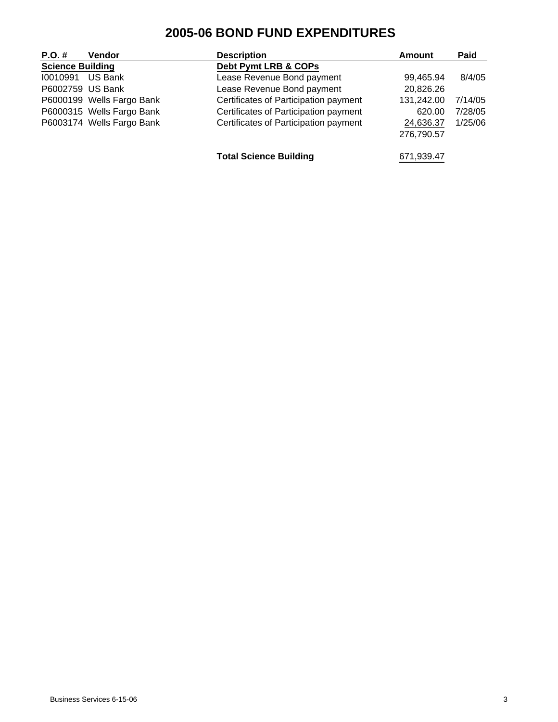| $P.O. \#$               | <b>Vendor</b>             | <b>Description</b>                    | Amount     | Paid    |
|-------------------------|---------------------------|---------------------------------------|------------|---------|
| <b>Science Building</b> |                           | Debt Pymt LRB & COPs                  |            |         |
| 10010991                | US Bank                   | Lease Revenue Bond payment            | 99,465.94  | 8/4/05  |
| P6002759 US Bank        |                           | Lease Revenue Bond payment            | 20,826.26  |         |
|                         | P6000199 Wells Fargo Bank | Certificates of Participation payment | 131,242.00 | 7/14/05 |
|                         | P6000315 Wells Fargo Bank | Certificates of Participation payment | 620.00     | 7/28/05 |
|                         | P6003174 Wells Fargo Bank | Certificates of Participation payment | 24,636.37  | 1/25/06 |
|                         |                           |                                       | 276,790.57 |         |
|                         |                           | <b>Total Science Building</b>         | 671,939.47 |         |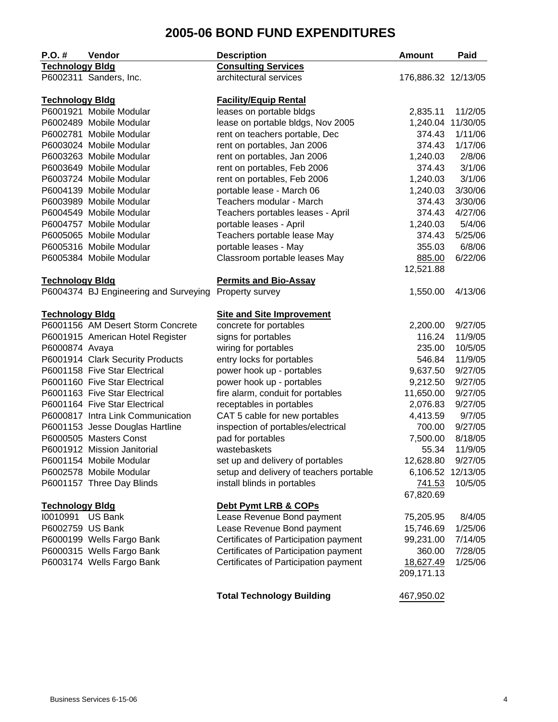| P.O. #                 | Vendor                                | <b>Description</b>                      | <b>Amount</b>       | Paid              |
|------------------------|---------------------------------------|-----------------------------------------|---------------------|-------------------|
| <b>Technology Bldg</b> |                                       | <b>Consulting Services</b>              |                     |                   |
|                        | P6002311 Sanders, Inc.                | architectural services                  | 176,886.32 12/13/05 |                   |
| <b>Technology Bidg</b> |                                       | <b>Facility/Equip Rental</b>            |                     |                   |
|                        | P6001921 Mobile Modular               | leases on portable bldgs                | 2,835.11            | 11/2/05           |
|                        | P6002489 Mobile Modular               | lease on portable bldgs, Nov 2005       |                     | 1,240.04 11/30/05 |
|                        | P6002781 Mobile Modular               | rent on teachers portable, Dec          | 374.43              | 1/11/06           |
|                        | P6003024 Mobile Modular               | rent on portables, Jan 2006             | 374.43              | 1/17/06           |
|                        | P6003263 Mobile Modular               | rent on portables, Jan 2006             | 1,240.03            | 2/8/06            |
|                        | P6003649 Mobile Modular               | rent on portables, Feb 2006             | 374.43              | 3/1/06            |
|                        | P6003724 Mobile Modular               | rent on portables, Feb 2006             | 1,240.03            | 3/1/06            |
|                        | P6004139 Mobile Modular               | portable lease - March 06               | 1,240.03            | 3/30/06           |
|                        | P6003989 Mobile Modular               | Teachers modular - March                | 374.43              | 3/30/06           |
|                        | P6004549 Mobile Modular               | Teachers portables leases - April       | 374.43              | 4/27/06           |
|                        | P6004757 Mobile Modular               | portable leases - April                 | 1,240.03            | 5/4/06            |
|                        | P6005065 Mobile Modular               | Teachers portable lease May             | 374.43              | 5/25/06           |
|                        | P6005316 Mobile Modular               | portable leases - May                   | 355.03              | 6/8/06            |
|                        | P6005384 Mobile Modular               | Classroom portable leases May           | 885.00              | 6/22/06           |
|                        |                                       |                                         | 12,521.88           |                   |
| <b>Technology Bidg</b> |                                       | <b>Permits and Bio-Assay</b>            |                     |                   |
|                        | P6004374 BJ Engineering and Surveying | Property survey                         | 1,550.00            | 4/13/06           |
| <b>Technology Bidg</b> |                                       | <b>Site and Site Improvement</b>        |                     |                   |
|                        | P6001156 AM Desert Storm Concrete     | concrete for portables                  | 2,200.00            | 9/27/05           |
|                        | P6001915 American Hotel Register      | signs for portables                     | 116.24              | 11/9/05           |
| P6000874 Avaya         |                                       | wiring for portables                    | 235.00              | 10/5/05           |
|                        | P6001914 Clark Security Products      | entry locks for portables               | 546.84              | 11/9/05           |
|                        | P6001158 Five Star Electrical         | power hook up - portables               | 9,637.50            | 9/27/05           |
|                        | P6001160 Five Star Electrical         | power hook up - portables               | 9,212.50            | 9/27/05           |
|                        | P6001163 Five Star Electrical         | fire alarm, conduit for portables       | 11,650.00           | 9/27/05           |
|                        | P6001164 Five Star Electrical         | receptables in portables                | 2,076.83            | 9/27/05           |
|                        | P6000817 Intra Link Communication     | CAT 5 cable for new portables           | 4,413.59            | 9/7/05            |
|                        | P6001153 Jesse Douglas Hartline       | inspection of portables/electrical      | 700.00              | 9/27/05           |
|                        | P6000505 Masters Const                | pad for portables                       | 7,500.00            | 8/18/05           |
|                        | P6001912 Mission Janitorial           | wastebaskets                            | 55.34               | 11/9/05           |
|                        | P6001154 Mobile Modular               | set up and delivery of portables        | 12,628.80           | 9/27/05           |
|                        | P6002578 Mobile Modular               | setup and delivery of teachers portable |                     | 6,106.52 12/13/05 |
|                        | P6001157 Three Day Blinds             | install blinds in portables             | 741.53              | 10/5/05           |
|                        |                                       |                                         | 67,820.69           |                   |
| <b>Technology Bldg</b> |                                       | Debt Pymt LRB & COPs                    |                     |                   |
| 10010991               | <b>US Bank</b>                        | Lease Revenue Bond payment              | 75,205.95           | 8/4/05            |
| P6002759 US Bank       |                                       | Lease Revenue Bond payment              | 15,746.69           | 1/25/06           |
|                        | P6000199 Wells Fargo Bank             | Certificates of Participation payment   | 99,231.00           | 7/14/05           |
|                        | P6000315 Wells Fargo Bank             | Certificates of Participation payment   | 360.00              | 7/28/05           |
|                        | P6003174 Wells Fargo Bank             | Certificates of Participation payment   | 18,627.49           | 1/25/06           |
|                        |                                       |                                         | 209,171.13          |                   |
|                        |                                       | <b>Total Technology Building</b>        | 467,950.02          |                   |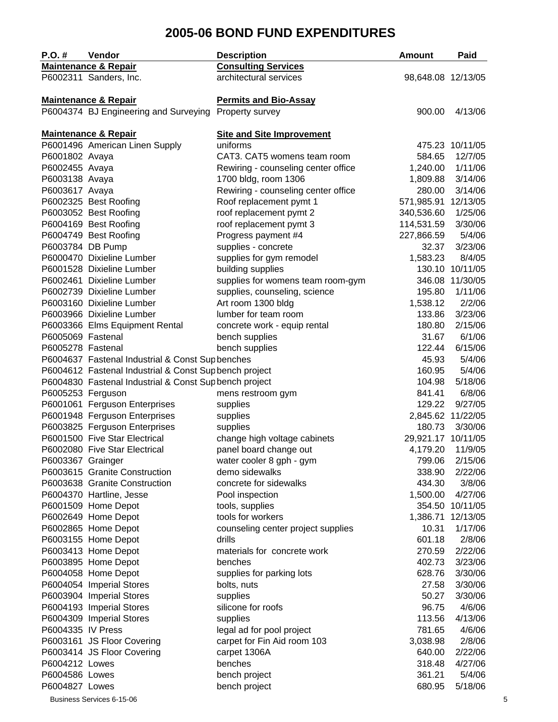| P.O. #            | Vendor                                                | <b>Description</b>                  | <b>Amount</b>      | Paid              |
|-------------------|-------------------------------------------------------|-------------------------------------|--------------------|-------------------|
|                   | <b>Maintenance &amp; Repair</b>                       | <b>Consulting Services</b>          |                    |                   |
|                   | P6002311 Sanders, Inc.                                | architectural services              | 98,648.08 12/13/05 |                   |
|                   |                                                       |                                     |                    |                   |
|                   | <b>Maintenance &amp; Repair</b>                       | <b>Permits and Bio-Assay</b>        |                    |                   |
|                   | P6004374 BJ Engineering and Surveying                 | Property survey                     | 900.00             | 4/13/06           |
|                   |                                                       |                                     |                    |                   |
|                   | <b>Maintenance &amp; Repair</b>                       | <b>Site and Site Improvement</b>    |                    |                   |
|                   | P6001496 American Linen Supply                        | uniforms                            |                    | 475.23 10/11/05   |
| P6001802 Avaya    |                                                       | CAT3. CAT5 womens team room         | 584.65             | 12/7/05           |
| P6002455 Avaya    |                                                       | Rewiring - counseling center office | 1,240.00           | 1/11/06           |
| P6003138 Avaya    |                                                       | 1700 bldg, room 1306                | 1,809.88           | 3/14/06           |
| P6003617 Avaya    |                                                       | Rewiring - counseling center office | 280.00             | 3/14/06           |
|                   | P6002325 Best Roofing                                 | Roof replacement pymt 1             | 571,985.91         | 12/13/05          |
|                   | P6003052 Best Roofing                                 | roof replacement pymt 2             | 340,536.60         | 1/25/06           |
|                   | P6004169 Best Roofing                                 | roof replacement pymt 3             | 114,531.59         | 3/30/06           |
|                   | P6004749 Best Roofing                                 | Progress payment #4                 | 227,866.59         | 5/4/06            |
| P6003784 DB Pump  |                                                       | supplies - concrete                 | 32.37              | 3/23/06           |
|                   | P6000470 Dixieline Lumber                             | supplies for gym remodel            | 1,583.23           | 8/4/05            |
|                   | P6001528 Dixieline Lumber                             | building supplies                   |                    | 130.10 10/11/05   |
|                   | P6002461 Dixieline Lumber                             | supplies for womens team room-gym   |                    | 346.08 11/30/05   |
|                   | P6002739 Dixieline Lumber                             | supplies, counseling, science       | 195.80             | 1/11/06           |
|                   | P6003160 Dixieline Lumber                             | Art room 1300 bldg                  | 1,538.12           | 2/2/06            |
|                   | P6003966 Dixieline Lumber                             | lumber for team room                | 133.86             | 3/23/06           |
|                   | P6003366 Elms Equipment Rental                        | concrete work - equip rental        | 180.80             | 2/15/06           |
| P6005069 Fastenal |                                                       | bench supplies                      | 31.67              | 6/1/06            |
| P6005278 Fastenal |                                                       | bench supplies                      | 122.44             | 6/15/06           |
|                   | P6004637 Fastenal Industrial & Const Supbenches       |                                     | 45.93              | 5/4/06            |
|                   | P6004612 Fastenal Industrial & Const Supbench project |                                     | 160.95             | 5/4/06            |
|                   | P6004830 Fastenal Industrial & Const Supbench project |                                     | 104.98             | 5/18/06           |
| P6005253 Ferguson |                                                       | mens restroom gym                   | 841.41             | 6/8/06            |
|                   | P6001061 Ferguson Enterprises                         | supplies                            | 129.22             | 9/27/05           |
|                   | P6001948 Ferguson Enterprises                         | supplies                            |                    | 2,845.62 11/22/05 |
|                   | P6003825 Ferguson Enterprises                         | supplies                            | 180.73             | 3/30/06           |
|                   | P6001500 Five Star Electrical                         | change high voltage cabinets        | 29,921.17 10/11/05 |                   |
|                   | P6002080 Five Star Electrical                         | panel board change out              | 4,179.20           | 11/9/05           |
| P6003367 Grainger |                                                       | water cooler 8 gph - gym            | 799.06             | 2/15/06           |
|                   | P6003615 Granite Construction                         | demo sidewalks                      | 338.90             | 2/22/06           |
|                   | P6003638 Granite Construction                         | concrete for sidewalks              | 434.30             | 3/8/06            |
|                   | P6004370 Hartline, Jesse                              | Pool inspection                     | 1,500.00           | 4/27/06           |
|                   | P6001509 Home Depot                                   | tools, supplies                     |                    | 354.50 10/11/05   |
|                   | P6002649 Home Depot                                   | tools for workers                   | 1,386.71           | 12/13/05          |
|                   | P6002865 Home Depot                                   | counseling center project supplies  | 10.31              | 1/17/06           |
|                   | P6003155 Home Depot                                   | drills                              | 601.18             | 2/8/06            |
|                   | P6003413 Home Depot                                   | materials for concrete work         | 270.59             | 2/22/06           |
|                   | P6003895 Home Depot                                   | benches                             | 402.73             | 3/23/06           |
|                   | P6004058 Home Depot                                   | supplies for parking lots           | 628.76             | 3/30/06           |
|                   | P6004054 Imperial Stores                              | bolts, nuts                         | 27.58              | 3/30/06           |
|                   | P6003904 Imperial Stores                              | supplies                            | 50.27              | 3/30/06           |
|                   | P6004193 Imperial Stores                              | silicone for roofs                  | 96.75              | 4/6/06            |
|                   | P6004309 Imperial Stores                              | supplies                            | 113.56             | 4/13/06           |
| P6004335 IV Press |                                                       | legal ad for pool project           | 781.65             | 4/6/06            |
|                   | P6003161 JS Floor Covering                            | carpet for Fin Aid room 103         | 3,038.98           | 2/8/06            |
|                   | P6003414 JS Floor Covering                            | carpet 1306A                        | 640.00             | 2/22/06           |
| P6004212 Lowes    |                                                       | benches                             | 318.48             | 4/27/06           |
| P6004586 Lowes    |                                                       | bench project                       | 361.21             | 5/4/06            |
| P6004827 Lowes    |                                                       | bench project                       | 680.95             | 5/18/06           |

Business Services 6-15-06 5